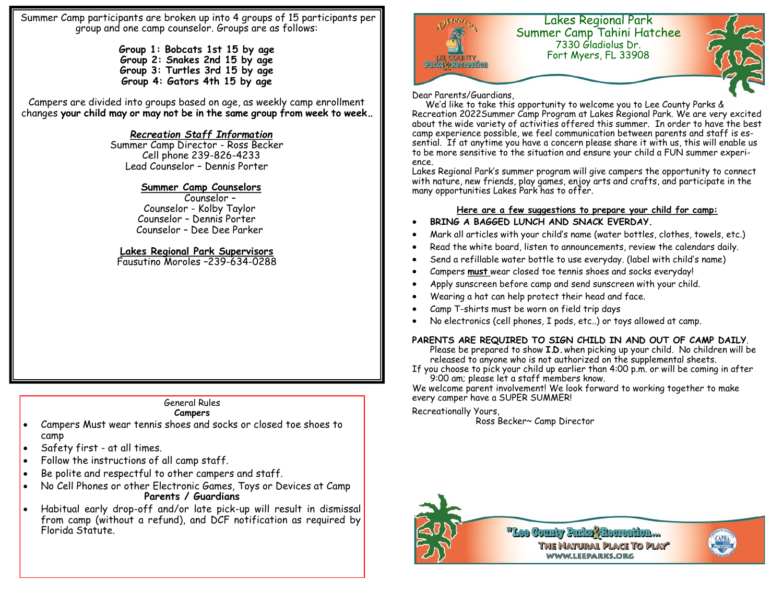Summer Camp participants are broken up into 4 groups of 15 participants per group and one camp counselor. Groups are as follows:

> **Group 1: Bobcats 1st 15 by age Group 2: Snakes 2nd 15 by age Group 3: Turtles 3rd 15 by age Group 4: Gators 4th 15 by age**

Campers are divided into groups based on age, as weekly camp enrollment changes **your child may or may not be in the same group from week to week..**

## *Recreation Staff Information*

Summer Camp Director - Ross Becker Cell phone 239-826-4233 Lead Counselor – Dennis Porter

### **Summer Camp Counselors**

 Counselor – Counselor - Kolby Taylor Counselor – Dennis Porter Counselor – Dee Dee Parker

## **Lakes Regional Park Supervisors**

Fausutino Moroles –239-634-0288

## General Rules

#### **Campers**

- Campers Must wear tennis shoes and socks or closed toe shoes to camp
- Safety first at all times.
- Follow the instructions of all camp staff.
- Be polite and respectful to other campers and staff.
- No Cell Phones or other Electronic Games, Toys or Devices at Camp **Parents / Guardians**
- Habitual early drop-off and/or late pick-up will result in dismissal from camp (without a refund), and DCF notification as required by Florida Statute.



#### Dear Parents/Guardians,

 We'd like to take this opportunity to welcome you to Lee County Parks & Recreation 2022Summer Camp Program at Lakes Regional Park. We are very excited about the wide variety of activities offered this summer. In order to have the best camp experience possible, we feel communication between parents and staff is essential. If at anytime you have a concern please share it with us, this will enable us to be more sensitive to the situation and ensure your child a FUN summer experience.

Lakes Regional Park's summer program will give campers the opportunity to connect with nature, new friends, play games, enjoy arts and crafts, and participate in the many opportunities Lakes Park has to offer.

#### **Here are a few suggestions to prepare your child for camp:**

- **BRING A BAGGED LUNCH AND SNACK EVERDAY.**
- Mark all articles with your child's name (water bottles, clothes, towels, etc.)
- Read the white board, listen to announcements, review the calendars daily.
- Send a refillable water bottle to use everyday. (label with child's name)
- Campers **must** wear closed toe tennis shoes and socks everyday!
- Apply sunscreen before camp and send sunscreen with your child.
- Wearing a hat can help protect their head and face.
- Camp T-shirts must be worn on field trip days
- No electronics (cell phones, I pods, etc..) or toys allowed at camp.

#### **PARENTS ARE REQUIRED TO SIGN CHILD IN AND OUT OF CAMP DAILY**.

Please be prepared to show **I.D.** when picking up your child. No children will be released to anyone who is not authorized on the supplemental sheets.

If you choose to pick your child up earlier than 4:00 p.m. or will be coming in after 9:00 am; please let a staff members know.

We welcome parent involvement! We look forward to working together to make every camper have a SUPER SUMMER!

#### Recreationally Yours,

Ross Becker~ Camp Director